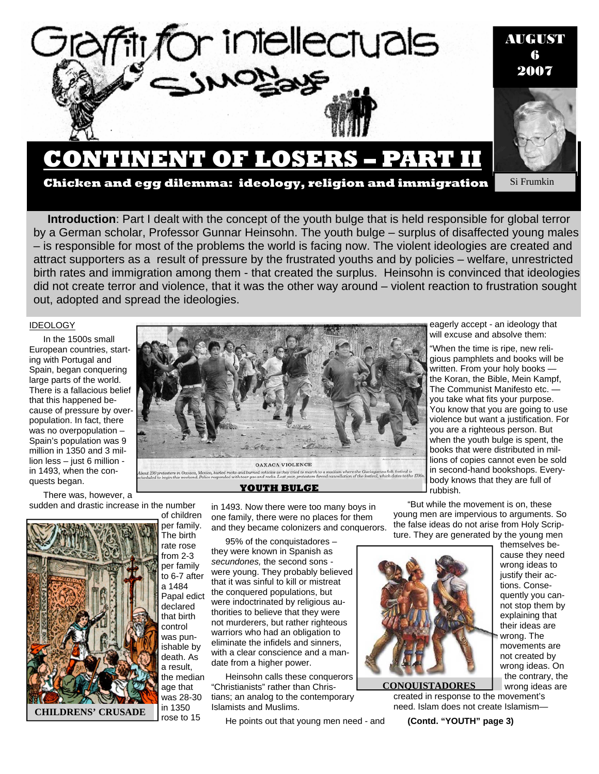

## **CONTINENT OF LOSERS – PART II**

**Si Frumkin** 

**Chicken and egg dilemma: ideology, religion and immigration** 

attract supporters as a result of pressure by the frustrated youths and by policies – welfare, unrestricted **Introduction**: Part I dealt with the concept of the youth bulge that is held responsible for global terror by a German scholar, Professor Gunnar Heinsohn. The youth bulge – surplus of disaffected young males – is responsible for most of the problems the world is facing now. The violent ideologies are created and birth rates and immigration among them - that created the surplus. Heinsohn is convinced that ideologies did not create terror and violence, that it was the other way around – violent reaction to frustration sought out, adopted and spread the ideologies.

#### IDEOLOGY

In the 1500s small European countries, starting with Portugal and Spain, began conquering large parts of the world. There is a fallacious belief that this happened because of pressure by overpopulation. In fact, there was no overpopulation – Spain's population was 9 million in 1350 and 3 million less – just 6 million in 1493, when the conquests began.

There was, however, a sudden and drastic increase in the number of children



per family. The birth rate rose from 2-3 per family to 6-7 after a 1484 Papal edict declared that birth control was punishable by death. As a result, the median age that was 28-30 in 1350 rose to 15



**YOUTH BULGE** 

in 1493. Now there were too many boys in one family, there were no places for them and they became colonizers and conquerors.

95% of the conquistadores – they were known in Spanish as *secundones,* the second sons  were young. They probably believed that it was sinful to kill or mistreat the conquered populations, but were indoctrinated by religious authorities to believe that they were not murderers, but rather righteous warriors who had an obligation to eliminate the infidels and sinners, with a clear conscience and a mandate from a higher power.

Heinsohn calls these conquerors "Christianists" rather than Christians; an analog to the contemporary Islamists and Muslims.

He points out that young men need - and



themselves because they need wrong ideas to justify their actions. Consequently you cannot stop them by explaining that their ideas are wrong. The movements are not created by wrong ideas. On the contrary, the wrong ideas are

created in response to the movement's need. Islam does not create Islamism— **CONQUISTADORES** 

**(Contd. "YOUTH" page 3)** 

eagerly accept - an ideology that will excuse and absolve them:

"When the time is ripe, new religious pamphlets and books will be written. From your holy books the Koran, the Bible, Mein Kampf, The Communist Manifesto etc. you take what fits your purpose. You know that you are going to use violence but want a justification. For you are a righteous person. But when the youth bulge is spent, the books that were distributed in millions of copies cannot even be sold in second-hand bookshops. Everybody knows that they are full of rubbish.

"But while the movement is on, these young men are impervious to arguments. So the false ideas do not arise from Holy Scripture. They are generated by the young men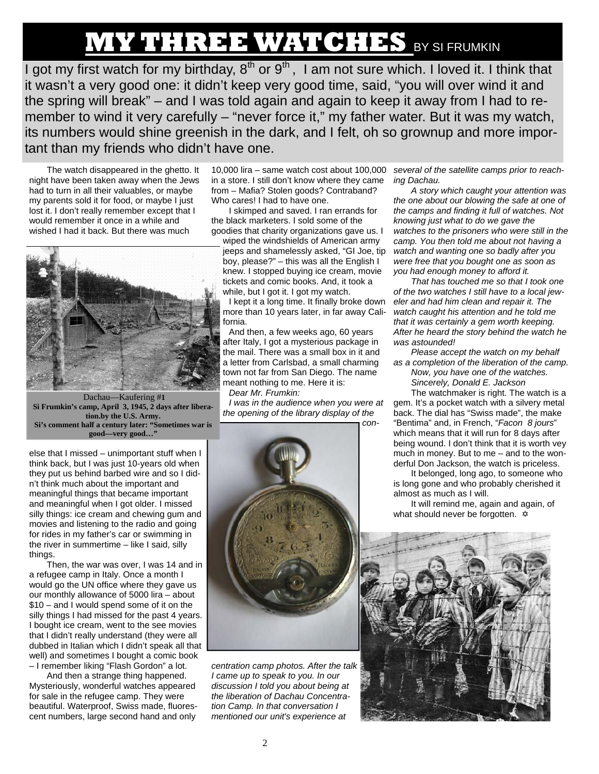# **MY THREE WATCHES** BY SI FRUMKIN

I got my first watch for my birthday,  $8^{th}$  or  $9^{th}$ , I am not sure which. I loved it. I think that it wasn't a very good one: it didn't keep very good time, said, "you will over wind it and the spring will break" – and I was told again and again to keep it away from I had to remember to wind it very carefully – "never force it," my father water. But it was my watch, its numbers would shine greenish in the dark, and I felt, oh so grownup and more important than my friends who didn't have one.

The watch disappeared in the ghetto. It night have been taken away when the Jews had to turn in all their valuables, or maybe my parents sold it for food, or maybe I just lost it. I don't really remember except that I would remember it once in a while and wished I had it back. But there was much



 Dachau—Kaufering #**1 Si Frumkin's camp, April 3, 1945, 2 days after liberation.by the U.S. Army. Si's comment half a century later: "Sometimes war is good—very good…"** 

else that I missed – unimportant stuff when I think back, but I was just 10-years old when they put us behind barbed wire and so I didn't think much about the important and meaningful things that became important and meaningful when I got older. I missed silly things: ice cream and chewing gum and movies and listening to the radio and going for rides in my father's car or swimming in the river in summertime – like I said, silly things.

Then, the war was over, I was 14 and in a refugee camp in Italy. Once a month I would go the UN office where they gave us our monthly allowance of 5000 lira – about \$10 – and I would spend some of it on the silly things I had missed for the past 4 years. I bought ice cream, went to the see movies that I didn't really understand (they were all dubbed in Italian which I didn't speak all that well) and sometimes I bought a comic book – I remember liking "Flash Gordon" a lot.

And then a strange thing happened. Mysteriously, wonderful watches appeared for sale in the refugee camp. They were beautiful. Waterproof, Swiss made, fluorescent numbers, large second hand and only

10,000 lira – same watch cost about 100,000 in a store. I still don't know where they came from – Mafia? Stolen goods? Contraband? Who cares! I had to have one.

I skimped and saved. I ran errands for the black marketers. I sold some of the goodies that charity organizations gave us. I

wiped the windshields of American army jeeps and shamelessly asked, "GI Joe, tip boy, please?" – this was all the English I knew. I stopped buying ice cream, movie tickets and comic books. And, it took a while, but I got it. I got my watch.

I kept it a long time. It finally broke down more than 10 years later, in far away California.

And then, a few weeks ago, 60 years after Italy, I got a mysterious package in the mail. There was a small box in it and a letter from Carlsbad, a small charming town not far from San Diego. The name meant nothing to me. Here it is: *Dear Mr. Frumkin:* 

*I was in the audience when you were at the opening of the library display of the con-*



*centration camp photos. After the talk I came up to speak to you. In our discussion I told you about being at the liberation of Dachau Concentration Camp. In that conversation I mentioned our unit's experience at* 

*several of the satellite camps prior to reaching Dachau.* 

*A story which caught your attention was the one about our blowing the safe at one of the camps and finding it full of watches. Not knowing just what to do we gave the watches to the prisoners who were still in the camp. You then told me about not having a watch and wanting one so badly after you were free that you bought one as soon as you had enough money to afford it.* 

*That has touched me so that I took one of the two watches I still have to a local jeweler and had him clean and repair it. The watch caught his attention and he told me that it was certainly a gem worth keeping. After he heard the story behind the watch he was astounded!* 

*Please accept the watch on my behalf as a completion of the liberation of the camp.* 

*Now, you have one of the watches. Sincerely, Donald E. Jackson* 

The watchmaker is right. The watch is a gem. It's a pocket watch with a silvery metal back. The dial has "Swiss made", the make "Bentima" and, in French, "*Facon 8 jours*" which means that it will run for 8 days after being wound. I don't think that it is worth vey much in money. But to me – and to the wonderful Don Jackson, the watch is priceless.

It belonged, long ago, to someone who is long gone and who probably cherished it almost as much as I will.

It will remind me, again and again, of what should never be forgotten.  $\dot{\varphi}$ 

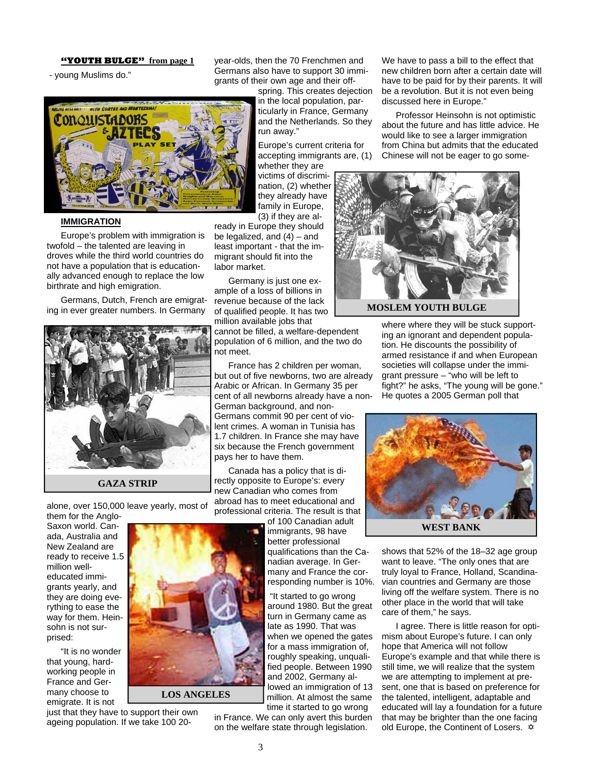**"YOUTH BULGE" from page 1**

- young Muslims do."



#### **IMMIGRATION**

Europe's problem with immigration is twofold – the talented are leaving in droves while the third world countries do not have a population that is educationally advanced enough to replace the low birthrate and high emigration.

Germans, Dutch, French are emigrating in ever greater numbers. In Germany



alone, over 150,000 leave yearly, most of

them for the Anglo-Saxon world. Canada, Australia and New Zealand are ready to receive 1.5 million welleducated immigrants yearly, and they are doing everything to ease the way for them. Heinsohn is not surprised:

"It is no wonder that young, hardworking people in France and Germany choose to emigrate. It is not

just that they have to support their own ageing population. If we take 100 20-

year-olds, then the 70 Frenchmen and Germans also have to support 30 immigrants of their own age and their off-

spring. This creates dejection in the local population, particularly in France, Germany and the Netherlands. So they run away."

Europe's current criteria for accepting immigrants are, (1)

whether they are victims of discrimination, (2) whether they already have family in Europe, (3) if they are al-

ready in Europe they should be legalized, and  $(4)$  – and least important - that the immigrant should fit into the labor market.

Germany is just one example of a loss of billions in revenue because of the lack of qualified people. It has two million available jobs that

cannot be filled, a welfare-dependent population of 6 million, and the two do not meet.

France has 2 children per woman, but out of five newborns, two are already Arabic or African. In Germany 35 per cent of all newborns already have a non-German background, and non-Germans commit 90 per cent of violent crimes. A woman in Tunisia has 1.7 children. In France she may have six because the French government pays her to have them.

Canada has a policy that is directly opposite to Europe's: every new Canadian who comes from abroad has to meet educational and professional criteria. The result is that

of 100 Canadian adult immigrants, 98 have better professional qualifications than the Canadian average. In Germany and France the corresponding number is 10%.

 "It started to go wrong around 1980. But the great turn in Germany came as late as 1990. That was when we opened the gates for a mass immigration of, roughly speaking, unqualified people. Between 1990 and 2002, Germany allowed an immigration of 13 million. At almost the same time it started to go wrong

in France. We can only avert this burden on the welfare state through legislation.

We have to pass a bill to the effect that new children born after a certain date will have to be paid for by their parents. It will be a revolution. But it is not even being discussed here in Europe."

Professor Heinsohn is not optimistic about the future and has little advice. He would like to see a larger immigration from China but admits that the educated Chinese will not be eager to go some-



where where they will be stuck supporting an ignorant and dependent population. He discounts the possibility of armed resistance if and when European societies will collapse under the immigrant pressure – "who will be left to fight?" he asks, "The young will be gone." He quotes a 2005 German poll that



shows that 52% of the 18–32 age group want to leave. "The only ones that are truly loyal to France, Holland, Scandinavian countries and Germany are those living off the welfare system. There is no other place in the world that will take care of them," he says.

I agree. There is little reason for optimism about Europe's future. I can only hope that America will not follow Europe's example and that while there is still time, we will realize that the system we are attempting to implement at present, one that is based on preference for the talented, intelligent, adaptable and educated will lay a foundation for a future that may be brighter than the one facing old Europe, the Continent of Losers.  $\phi$